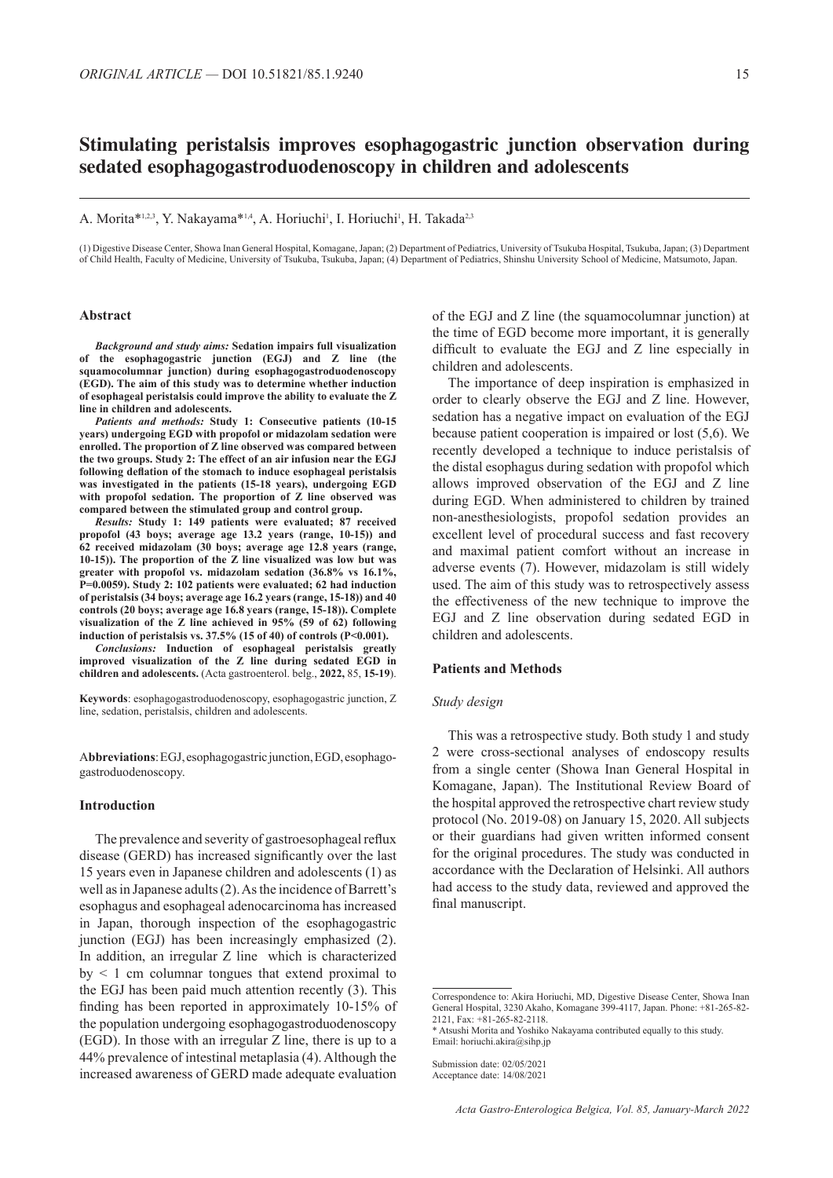# **Stimulating peristalsis improves esophagogastric junction observation during sedated esophagogastroduodenoscopy in children and adolescents**

A. Morita\*<sup>1,2,3</sup>, Y. Nakayama\*<sup>1,4</sup>, A. Horiuchi<sup>1</sup>, I. Horiuchi<sup>1</sup>, H. Takada<sup>2,3</sup>

(1) Digestive Disease Center, Showa Inan General Hospital, Komagane, Japan; (2) Department of Pediatrics, University of Tsukuba Hospital, Tsukuba, Japan; (3) Department of Child Health, Faculty of Medicine, University of Tsukuba, Tsukuba, Japan; (4) Department of Pediatrics, Shinshu University School of Medicine, Matsumoto, Japan.

### **Abstract**

*Background and study aims:* **Sedation impairs full visualization of the esophagogastric junction (EGJ) and Z line (the squamocolumnar junction) during esophagogastroduodenoscopy (EGD). The aim of this study was to determine whether induction of esophageal peristalsis could improve the ability to evaluate the Z line in children and adolescents.**

*Patients and methods:* **Study 1: Consecutive patients (10-15 years) undergoing EGD with propofol or midazolam sedation were enrolled. The proportion of Z line observed was compared between the two groups. Study 2: The effect of an air infusion near the EGJ following deflation of the stomach to induce esophageal peristalsis was investigated in the patients (15-18 years), undergoing EGD with propofol sedation. The proportion of Z line observed was compared between the stimulated group and control group.**

*Results:* **Study 1: 149 patients were evaluated; 87 received propofol (43 boys; average age 13.2 years (range, 10-15)) and 62 received midazolam (30 boys; average age 12.8 years (range, 10-15)). The proportion of the Z line visualized was low but was greater with propofol vs. midazolam sedation (36.8% vs 16.1%, P=0.0059). Study 2: 102 patients were evaluated; 62 had induction of peristalsis (34 boys; average age 16.2 years (range, 15-18)) and 40 controls (20 boys; average age 16.8 years (range, 15-18)). Complete visualization of the Z line achieved in 95% (59 of 62) following induction of peristalsis vs. 37.5% (15 of 40) of controls (P<0.001).**

*Conclusions:* **Induction of esophageal peristalsis greatly improved visualization of the Z line during sedated EGD in children and adolescents.** (Acta gastroenterol. belg., **2022,** 85, **15-19**).

**Keywords**: esophagogastroduodenoscopy, esophagogastric junction, Z line, sedation, peristalsis, children and adolescents.

A**bbreviations**:EGJ, esophagogastric junction, EGD, esophagogastroduodenoscopy.

### **Introduction**

The prevalence and severity of gastroesophageal reflux disease (GERD) has increased significantly over the last 15 years even in Japanese children and adolescents (1) as well as in Japanese adults (2). As the incidence of Barrett's esophagus and esophageal adenocarcinoma has increased in Japan, thorough inspection of the esophagogastric junction (EGJ) has been increasingly emphasized (2). In addition, an irregular Z line which is characterized  $by < 1$  cm columnar tongues that extend proximal to the EGJ has been paid much attention recently (3). This finding has been reported in approximately 10-15% of the population undergoing esophagogastroduodenoscopy (EGD). In those with an irregular Z line, there is up to a 44% prevalence of intestinal metaplasia (4). Although the increased awareness of GERD made adequate evaluation

of the EGJ and Z line (the squamocolumnar junction) at the time of EGD become more important, it is generally difficult to evaluate the EGJ and Z line especially in children and adolescents.

The importance of deep inspiration is emphasized in order to clearly observe the EGJ and Z line. However, sedation has a negative impact on evaluation of the EGJ because patient cooperation is impaired or lost (5,6). We recently developed a technique to induce peristalsis of the distal esophagus during sedation with propofol which allows improved observation of the EGJ and Z line during EGD. When administered to children by trained non-anesthesiologists, propofol sedation provides an excellent level of procedural success and fast recovery and maximal patient comfort without an increase in adverse events (7). However, midazolam is still widely used. The aim of this study was to retrospectively assess the effectiveness of the new technique to improve the EGJ and Z line observation during sedated EGD in children and adolescents.

### **Patients and Methods**

#### *Study design*

This was a retrospective study. Both study 1 and study 2 were cross-sectional analyses of endoscopy results from a single center (Showa Inan General Hospital in Komagane, Japan). The Institutional Review Board of the hospital approved the retrospective chart review study protocol (No. 2019-08) on January 15, 2020. All subjects or their guardians had given written informed consent for the original procedures. The study was conducted in accordance with the Declaration of Helsinki. All authors had access to the study data, reviewed and approved the final manuscript.

Correspondence to: Akira Horiuchi, MD, Digestive Disease Center, Showa Inan General Hospital, 3230 Akaho, Komagane 399-4117, Japan. Phone: +81-265-82- 2121, Fax: +81-265-82-2118.

<sup>\*</sup> Atsushi Morita and Yoshiko Nakayama contributed equally to this study. Email: horiuchi.akira@sihp.jp

Submission date: 02/05/2021 Acceptance date: 14/08/2021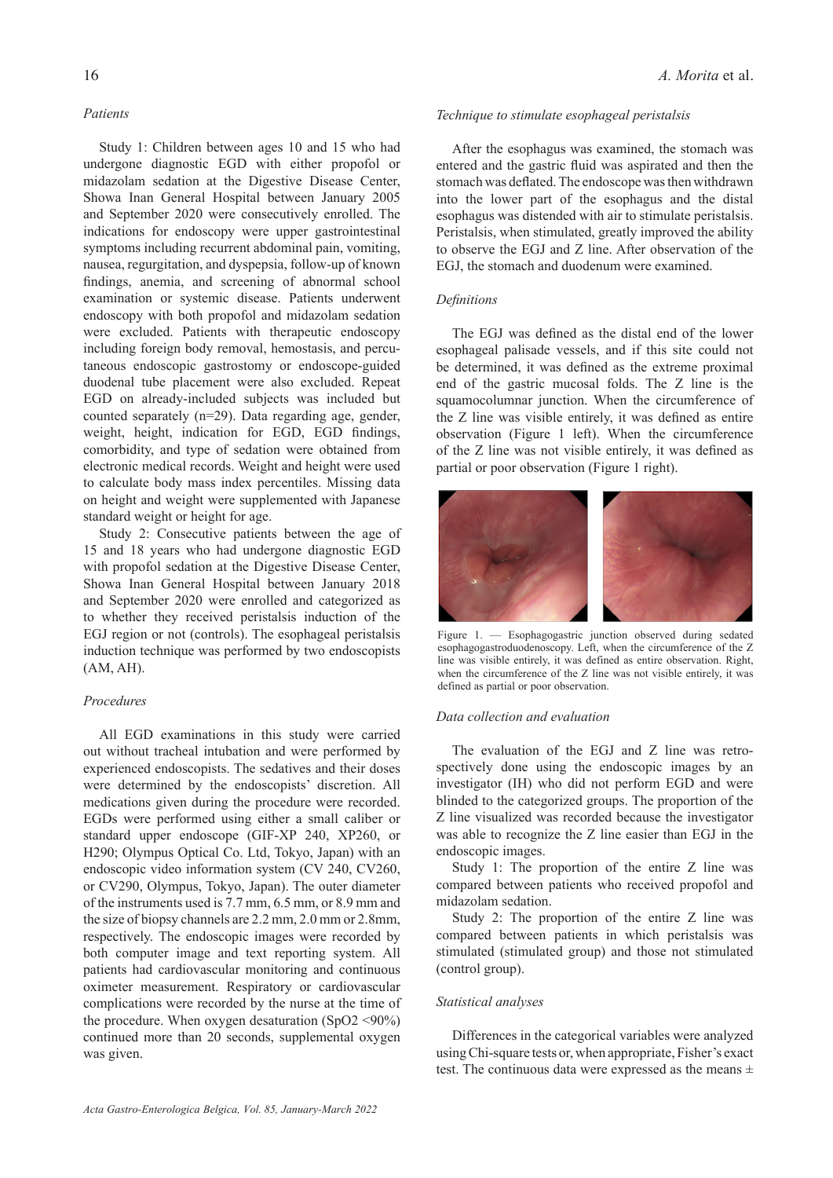### *Patients*

Study 1: Children between ages 10 and 15 who had undergone diagnostic EGD with either propofol or midazolam sedation at the Digestive Disease Center, Showa Inan General Hospital between January 2005 and September 2020 were consecutively enrolled. The indications for endoscopy were upper gastrointestinal symptoms including recurrent abdominal pain, vomiting, nausea, regurgitation, and dyspepsia, follow-up of known findings, anemia, and screening of abnormal school examination or systemic disease. Patients underwent endoscopy with both propofol and midazolam sedation were excluded. Patients with therapeutic endoscopy including foreign body removal, hemostasis, and percutaneous endoscopic gastrostomy or endoscope-guided duodenal tube placement were also excluded. Repeat EGD on already-included subjects was included but counted separately (n=29). Data regarding age, gender, weight, height, indication for EGD, EGD findings, comorbidity, and type of sedation were obtained from electronic medical records. Weight and height were used to calculate body mass index percentiles. Missing data on height and weight were supplemented with Japanese standard weight or height for age.

Study 2: Consecutive patients between the age of 15 and 18 years who had undergone diagnostic EGD with propofol sedation at the Digestive Disease Center, Showa Inan General Hospital between January 2018 and September 2020 were enrolled and categorized as to whether they received peristalsis induction of the EGJ region or not (controls). The esophageal peristalsis induction technique was performed by two endoscopists (AM, AH).

### *Procedures*

All EGD examinations in this study were carried out without tracheal intubation and were performed by experienced endoscopists. The sedatives and their doses were determined by the endoscopists' discretion. All medications given during the procedure were recorded. EGDs were performed using either a small caliber or standard upper endoscope (GIF-XP 240, XP260, or H290; Olympus Optical Co. Ltd, Tokyo, Japan) with an endoscopic video information system (CV 240, CV260, or CV290, Olympus, Tokyo, Japan). The outer diameter of the instruments used is 7.7 mm, 6.5 mm, or 8.9 mm and the size of biopsy channels are 2.2 mm, 2.0 mm or 2.8mm, respectively. The endoscopic images were recorded by both computer image and text reporting system. All patients had cardiovascular monitoring and continuous oximeter measurement. Respiratory or cardiovascular complications were recorded by the nurse at the time of the procedure. When oxygen desaturation  $(SpO2 \le 90\%)$ continued more than 20 seconds, supplemental oxygen was given.

# *Technique to stimulate esophageal peristalsis*

After the esophagus was examined, the stomach was entered and the gastric fluid was aspirated and then the stomach was deflated. The endoscope was then withdrawn into the lower part of the esophagus and the distal esophagus was distended with air to stimulate peristalsis. Peristalsis, when stimulated, greatly improved the ability to observe the EGJ and Z line. After observation of the EGJ, the stomach and duodenum were examined.

# *Definitions*

The EGJ was defined as the distal end of the lower esophageal palisade vessels, and if this site could not be determined, it was defined as the extreme proximal end of the gastric mucosal folds. The Z line is the squamocolumnar junction. When the circumference of the Z line was visible entirely, it was defined as entire observation (Figure 1 left). When the circumference of the Z line was not visible entirely, it was defined as partial or poor observation (Figure 1 right).



Figure 1. — Esophagogastric junction observed during sedated esophagogastroduodenoscopy. Left, when the circumference of the Z line was visible entirely, it was defined as entire observation. Right, when the circumference of the Z line was not visible entirely, it was defined as partial or poor observation.

### *Data collection and evaluation*

The evaluation of the EGJ and Z line was retrospectively done using the endoscopic images by an investigator (IH) who did not perform EGD and were blinded to the categorized groups. The proportion of the Z line visualized was recorded because the investigator was able to recognize the Z line easier than EGJ in the endoscopic images.

Study 1: The proportion of the entire Z line was compared between patients who received propofol and midazolam sedation.

Study 2: The proportion of the entire Z line was compared between patients in which peristalsis was stimulated (stimulated group) and those not stimulated (control group).

# *Statistical analyses*

Differences in the categorical variables were analyzed using Chi-square tests or, when appropriate, Fisher's exact test. The continuous data were expressed as the means  $\pm$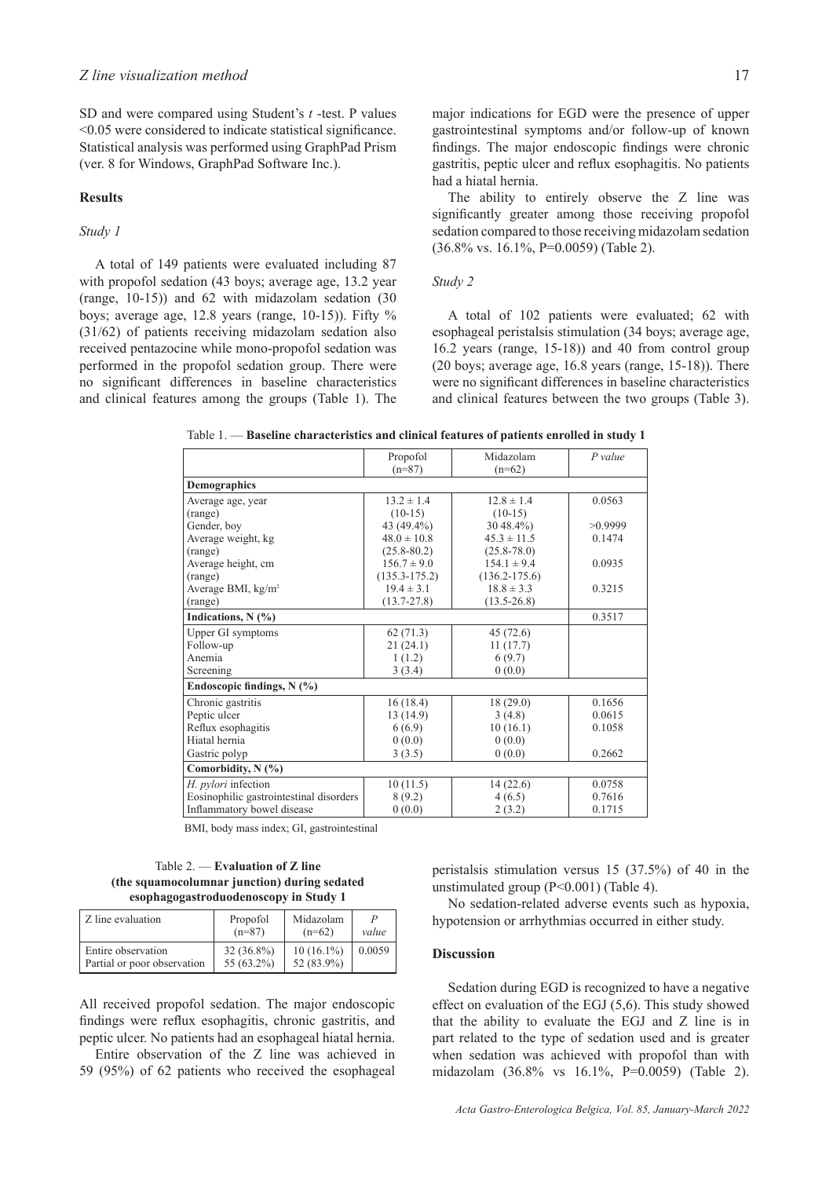SD and were compared using Student's *t* -test. P values <0.05 were considered to indicate statistical significance. Statistical analysis was performed using GraphPad Prism (ver. 8 for Windows, GraphPad Software Inc.).

# **Results**

# *Study 1*

A total of 149 patients were evaluated including 87 with propofol sedation (43 boys; average age, 13.2 year (range, 10-15)) and 62 with midazolam sedation (30 boys; average age,  $12.8$  years (range,  $10-15$ )). Fifty % (31/62) of patients receiving midazolam sedation also received pentazocine while mono-propofol sedation was performed in the propofol sedation group. There were no significant differences in baseline characteristics and clinical features among the groups (Table 1). The major indications for EGD were the presence of upper gastrointestinal symptoms and/or follow-up of known findings. The major endoscopic findings were chronic gastritis, peptic ulcer and reflux esophagitis. No patients had a hiatal hernia.

The ability to entirely observe the Z line was significantly greater among those receiving propofol sedation compared to those receiving midazolam sedation (36.8% vs. 16.1%, P=0.0059) (Table 2).

#### *Study 2*

A total of 102 patients were evaluated; 62 with esophageal peristalsis stimulation (34 boys; average age, 16.2 years (range, 15-18)) and 40 from control group (20 boys; average age, 16.8 years (range, 15-18)). There were no significant differences in baseline characteristics and clinical features between the two groups (Table 3).

|                                         | Propofol<br>$(n=87)$ | Midazolam<br>$(n=62)$ | $P$ value |
|-----------------------------------------|----------------------|-----------------------|-----------|
| <b>Demographics</b>                     |                      |                       |           |
| Average age, year                       | $13.2 \pm 1.4$       | $12.8 \pm 1.4$        | 0.0563    |
| (range)                                 | $(10-15)$            | $(10-15)$             |           |
| Gender, boy                             | 43 (49.4%)           | $3048.4\%$            | >0.9999   |
| Average weight, kg                      | $48.0 \pm 10.8$      | $45.3 \pm 11.5$       | 0.1474    |
| (range)                                 | $(25.8 - 80.2)$      | $(25.8 - 78.0)$       |           |
| Average height, cm                      | $156.7 \pm 9.0$      | $154.1 \pm 9.4$       | 0.0935    |
| (range)                                 | $(135.3 - 175.2)$    | $(136.2 - 175.6)$     |           |
| Average BMI, kg/m <sup>2</sup>          | $19.4 \pm 3.1$       | $18.8 \pm 3.3$        | 0.3215    |
| (range)                                 | $(13.7 - 27.8)$      | $(13.5 - 26.8)$       |           |
| Indications, $N$ (%)                    | 0.3517               |                       |           |
| Upper GI symptoms                       | 62(71.3)             | 45(72.6)              |           |
| Follow-up                               | 21(24.1)             | 11(17.7)              |           |
| Anemia                                  | 1(1.2)               | 6(9.7)                |           |
| Screening                               | 3(3.4)               | 0(0.0)                |           |
| Endoscopic findings, $N(\%)$            |                      |                       |           |
| Chronic gastritis                       | 16(18.4)             | 18(29.0)              | 0.1656    |
| Peptic ulcer                            | 13 (14.9)            | 3(4.8)                | 0.0615    |
| Reflux esophagitis                      | 6(6.9)               | 10(16.1)              | 0.1058    |
| Hiatal hernia                           | 0(0.0)               | 0(0.0)                |           |
| Gastric polyp                           | 3(3.5)               | 0(0.0)                | 0.2662    |
| Comorbidity, $N$ (%)                    |                      |                       |           |
| H. pylori infection                     | 10(11.5)             | 14(22.6)              | 0.0758    |
| Eosinophilic gastrointestinal disorders | 8(9.2)               | 4(6.5)                | 0.7616    |
| Inflammatory bowel disease              | 0(0.0)               | 2(3.2)                | 0.1715    |

Table 1. — **Baseline characteristics and clinical features of patients enrolled in study 1**

BMI, body mass index; GI, gastrointestinal

### Table 2. — **Evaluation of Z line (the squamocolumnar junction) during sedated esophagogastroduodenoscopy in Study 1**

| Z line evaluation           | Propofol<br>$(n=87)$ | Midazolam<br>$(n=62)$ | value  |
|-----------------------------|----------------------|-----------------------|--------|
| Entire observation          | $32(36.8\%)$         | $10(16.1\%)$          | 0.0059 |
| Partial or poor observation | 55 (63.2%)           | 52 (83.9%)            |        |

All received propofol sedation. The major endoscopic findings were reflux esophagitis, chronic gastritis, and peptic ulcer. No patients had an esophageal hiatal hernia.

Entire observation of the Z line was achieved in 59 (95%) of 62 patients who received the esophageal peristalsis stimulation versus 15 (37.5%) of 40 in the unstimulated group (P<0.001) (Table 4).

No sedation-related adverse events such as hypoxia, hypotension or arrhythmias occurred in either study.

### **Discussion**

Sedation during EGD is recognized to have a negative effect on evaluation of the EGJ (5,6). This study showed that the ability to evaluate the EGJ and Z line is in part related to the type of sedation used and is greater when sedation was achieved with propofol than with midazolam (36.8% vs 16.1%, P=0.0059) (Table 2).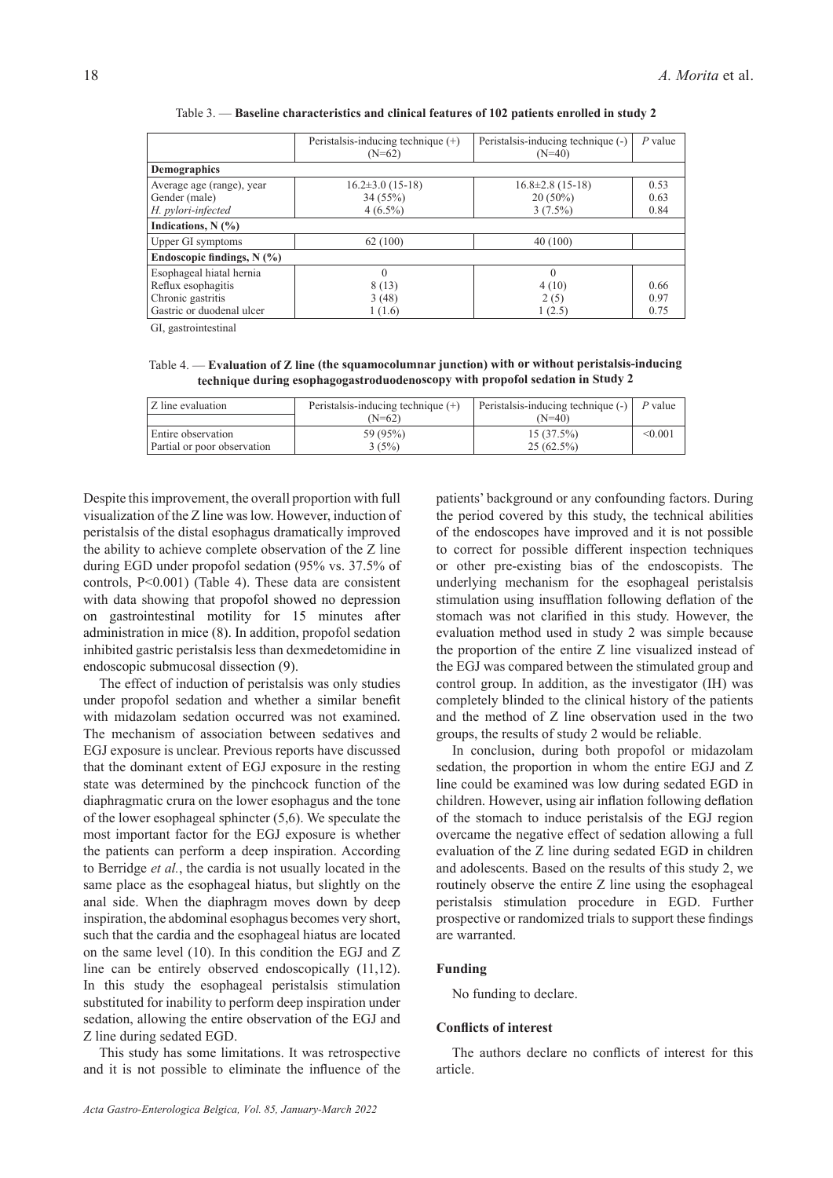|                              | Peristalsis-inducing technique $(+)$<br>$(N=62)$ | Peristalsis-inducing technique (-)<br>$(N=40)$ | $P$ value |  |
|------------------------------|--------------------------------------------------|------------------------------------------------|-----------|--|
| <b>Demographics</b>          |                                                  |                                                |           |  |
| Average age (range), year    | $16.2 \pm 3.0$ (15-18)                           | $16.8 \pm 2.8$ (15-18)                         | 0.53      |  |
| Gender (male)                | 34 (55%)                                         | $20(50\%)$                                     | 0.63      |  |
| H. pylori-infected           | $4(6.5\%)$                                       | $3(7.5\%)$                                     | 0.84      |  |
| Indications, $N$ (%)         |                                                  |                                                |           |  |
| Upper GI symptoms            | 62(100)                                          | 40(100)                                        |           |  |
| Endoscopic findings, $N$ (%) |                                                  |                                                |           |  |
| Esophageal hiatal hernia     | $\Omega$                                         | $\theta$                                       |           |  |
| Reflux esophagitis           | 8(13)                                            | 4(10)                                          | 0.66      |  |
| Chronic gastritis            | 3(48)                                            | 2(5)                                           | 0.97      |  |
| Gastric or duodenal ulcer    | 1 (1.6)                                          | 1(2.5)                                         | 0.75      |  |

Table 3. — **Baseline characteristics and clinical features of 102 patients enrolled in study 2**

GI, gastrointestinal

Table 4. — **Evaluation of Z line (the squamocolumnar junction) with or without peristalsis-inducing technique during esophagogastroduodenoscopy with propofol sedation in Study 2**

| Z line evaluation           | Peristalsis-inducing technique $(+)$ | Peristalsis-inducing technique (-) | $P$ value |
|-----------------------------|--------------------------------------|------------------------------------|-----------|
|                             | (N=62)                               | $(N=40)$                           |           |
| Entire observation          | 59 (95%)                             | 15(37.5%)                          | < 0.001   |
| Partial or poor observation | 3(5%)                                | 25(62.5%)                          |           |

Despite this improvement, the overall proportion with full visualization of the Z line was low. However, induction of peristalsis of the distal esophagus dramatically improved the ability to achieve complete observation of the Z line during EGD under propofol sedation (95% vs. 37.5% of controls, P<0.001) (Table 4). These data are consistent with data showing that propofol showed no depression on gastrointestinal motility for 15 minutes after administration in mice (8). In addition, propofol sedation inhibited gastric peristalsis less than dexmedetomidine in endoscopic submucosal dissection (9).

The effect of induction of peristalsis was only studies under propofol sedation and whether a similar benefit with midazolam sedation occurred was not examined. The mechanism of association between sedatives and EGJ exposure is unclear. Previous reports have discussed that the dominant extent of EGJ exposure in the resting state was determined by the pinchcock function of the diaphragmatic crura on the lower esophagus and the tone of the lower esophageal sphincter (5,6). We speculate the most important factor for the EGJ exposure is whether the patients can perform a deep inspiration. According to Berridge *et al.*, the cardia is not usually located in the same place as the esophageal hiatus, but slightly on the anal side. When the diaphragm moves down by deep inspiration, the abdominal esophagus becomes very short, such that the cardia and the esophageal hiatus are located on the same level (10). In this condition the EGJ and Z line can be entirely observed endoscopically (11,12). In this study the esophageal peristalsis stimulation substituted for inability to perform deep inspiration under sedation, allowing the entire observation of the EGJ and Z line during sedated EGD.

This study has some limitations. It was retrospective and it is not possible to eliminate the influence of the patients' background or any confounding factors. During the period covered by this study, the technical abilities of the endoscopes have improved and it is not possible to correct for possible different inspection techniques or other pre-existing bias of the endoscopists. The underlying mechanism for the esophageal peristalsis stimulation using insufflation following deflation of the stomach was not clarified in this study. However, the evaluation method used in study 2 was simple because the proportion of the entire Z line visualized instead of the EGJ was compared between the stimulated group and control group. In addition, as the investigator (IH) was completely blinded to the clinical history of the patients and the method of Z line observation used in the two groups, the results of study 2 would be reliable.

In conclusion, during both propofol or midazolam sedation, the proportion in whom the entire EGJ and Z line could be examined was low during sedated EGD in children. However, using air inflation following deflation of the stomach to induce peristalsis of the EGJ region overcame the negative effect of sedation allowing a full evaluation of the Z line during sedated EGD in children and adolescents. Based on the results of this study 2, we routinely observe the entire Z line using the esophageal peristalsis stimulation procedure in EGD. Further prospective or randomized trials to support these findings are warranted.

### **Funding**

No funding to declare.

#### **Conflicts of interest**

The authors declare no conflicts of interest for this article.